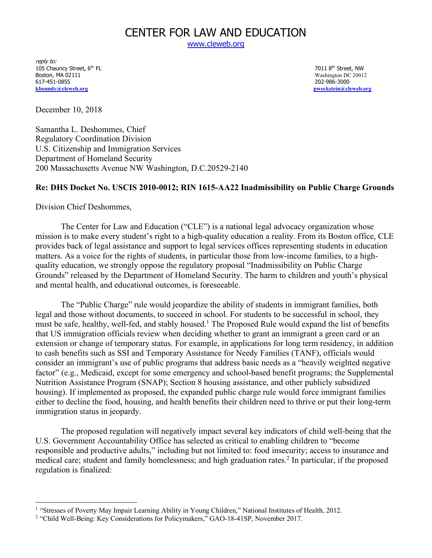# CENTER FOR LAW AND EDUCATION

www.cleweb.org

reply to: 105 Chauncy Street, 6<sup>th</sup> FL **105 Chauncy Street, NW** 7011 8<sup>th</sup> Street, NW 7011 8th Street, NW 7011 8th Street, NW Boston, MA 02111 Washington DC 20012<br>
617-451-0855<br>
202-986-3000 **kboundy@cleweb.org pweckstein@cleweb.org**

202-986-3000

December 10, 2018

Samantha L. Deshommes, Chief Regulatory Coordination Division U.S. Citizenship and Immigration Services Department of Homeland Security 200 Massachusetts Avenue NW Washington, D.C.20529-2140

### **Re: DHS Docket No. USCIS 2010-0012; RIN 1615-AA22 Inadmissibility on Public Charge Grounds**

Division Chief Deshommes,

The Center for Law and Education ("CLE") is a national legal advocacy organization whose mission is to make every student's right to a high-quality education a reality. From its Boston office, CLE provides back of legal assistance and support to legal services offices representing students in education matters. As a voice for the rights of students, in particular those from low-income families, to a highquality education, we strongly oppose the regulatory proposal "Inadmissibility on Public Charge Grounds" released by the Department of Homeland Security. The harm to children and youth's physical and mental health, and educational outcomes, is foreseeable.

The "Public Charge" rule would jeopardize the ability of students in immigrant families, both legal and those without documents, to succeed in school. For students to be successful in school, they must be safe, healthy, well-fed, and stably housed.<sup>1</sup> The Proposed Rule would expand the list of benefits that US immigration officials review when deciding whether to grant an immigrant a green card or an extension or change of temporary status. For example, in applications for long term residency, in addition to cash benefits such as SSI and Temporary Assistance for Needy Families (TANF), officials would consider an immigrant's use of public programs that address basic needs as a "heavily weighted negative factor" (e.g., Medicaid, except for some emergency and school-based benefit programs; the Supplemental Nutrition Assistance Program (SNAP); Section 8 housing assistance, and other publicly subsidized housing). If implemented as proposed, the expanded public charge rule would force immigrant families either to decline the food, housing, and health benefits their children need to thrive or put their long-term immigration status in jeopardy.

The proposed regulation will negatively impact several key indicators of child well-being that the U.S. Government Accountability Office has selected as critical to enabling children to "become responsible and productive adults," including but not limited to: food insecurity; access to insurance and medical care; student and family homelessness; and high graduation rates.<sup>2</sup> In particular, if the proposed regulation is finalized:

<sup>&</sup>lt;sup>1</sup> "Stresses of Poverty May Impair Learning Ability in Young Children," National Institutes of Health, 2012.

<sup>2</sup> "Child Well-Being: Key Considerations for Policymakers," GAO-18-41SP, November 2017.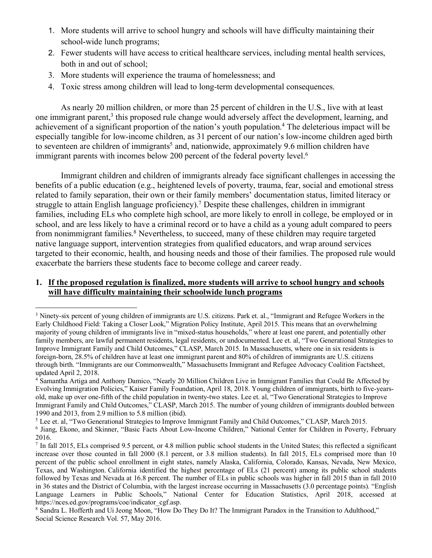- 1. More students will arrive to school hungry and schools will have difficulty maintaining their school-wide lunch programs;
- 2. Fewer students will have access to critical healthcare services, including mental health services, both in and out of school;
- 3. More students will experience the trauma of homelessness; and
- 4. Toxic stress among children will lead to long-term developmental consequences.

As nearly 20 million children, or more than 25 percent of children in the U.S., live with at least one immigrant parent, <sup>3</sup> this proposed rule change would adversely affect the development, learning, and achievement of a significant proportion of the nation's youth population. <sup>4</sup> The deleterious impact will be especially tangible for low-income children, as 31 percent of our nation's low-income children aged birth to seventeen are children of immigrants<sup>5</sup> and, nationwide, approximately 9.6 million children have immigrant parents with incomes below 200 percent of the federal poverty level.<sup>6</sup>

Immigrant children and children of immigrants already face significant challenges in accessing the benefits of a public education (e.g., heightened levels of poverty, trauma, fear, social and emotional stress related to family separation, their own or their family members' documentation status, limited literacy or struggle to attain English language proficiency).<sup>7</sup> Despite these challenges, children in immigrant families, including ELs who complete high school, are more likely to enroll in college, be employed or in school, and are less likely to have a criminal record or to have a child as a young adult compared to peers from nonimmigrant families.<sup>8</sup> Nevertheless, to succeed, many of these children may require targeted native language support, intervention strategies from qualified educators, and wrap around services targeted to their economic, health, and housing needs and those of their families. The proposed rule would exacerbate the barriers these students face to become college and career ready.

## **1. If the proposed regulation is finalized, more students will arrive to school hungry and schools will have difficulty maintaining their schoolwide lunch programs**

<sup>&</sup>lt;sup>3</sup> Ninety-six percent of young children of immigrants are U.S. citizens. Park et. al., "Immigrant and Refugee Workers in the Early Childhood Field: Taking a Closer Look," Migration Policy Institute, April 2015. This means that an overwhelming majority of young children of immigrants live in "mixed-status households," where at least one parent, and potentially other family members, are lawful permanent residents, legal residents, or undocumented. Lee et. al, "Two Generational Strategies to Improve Immigrant Family and Child Outcomes," CLASP, March 2015. In Massachusetts, where one in six residents is foreign-born, 28.5% of children have at least one immigrant parent and 80% of children of immigrants are U.S. citizens through birth. "Immigrants are our Commonwealth," Massachusetts Immigrant and Refugee Advocacy Coalition Factsheet, updated April 2, 2018.

<sup>4</sup> Samantha Artiga and Anthony Damico, "Nearly 20 Million Children Live in Immigrant Families that Could Be Affected by Evolving Immigration Policies," Kaiser Family Foundation, April 18, 2018. Young children of immigrants, birth to five-yearsold, make up over one-fifth of the child population in twenty-two states. Lee et. al, "Two Generational Strategies to Improve Immigrant Family and Child Outcomes," CLASP, March 2015. The number of young children of immigrants doubled between 1990 and 2013, from 2.9 million to 5.8 million (ibid).

<sup>5</sup> Lee et. al, "Two Generational Strategies to Improve Immigrant Family and Child Outcomes," CLASP, March 2015. <sup>6</sup> Jiang, Ekono, and Skinner, "Basic Facts About Low-Income Children," National Center for Children in Poverty, February 2016.

 $^7$  In fall 2015, ELs comprised 9.5 percent, or 4.8 million public school students in the United States; this reflected a significant increase over those counted in fall 2000 (8.1 percent, or 3.8 million students). In fall 2015, ELs comprised more than 10 percent of the public school enrollment in eight states, namely Alaska, California, Colorado, Kansas, Nevada, New Mexico, Texas, and Washington. California identified the highest percentage of ELs (21 percent) among its public school students followed by Texas and Nevada at 16.8 percent. The number of ELs in public schools was higher in fall 2015 than in fall 2010 in 36 states and the District of Columbia, with the largest increase occurring in Massachusetts (3.0 percentage points). "English Language Learners in Public Schools," National Center for Education Statistics, April 2018, accessed at https://nces.ed.gov/programs/coe/indicator\_cgf.asp.

<sup>8</sup> Sandra L. Hofferth and Ui Jeong Moon, "How Do They Do It? The Immigrant Paradox in the Transition to Adulthood," Social Science Research Vol. 57, May 2016.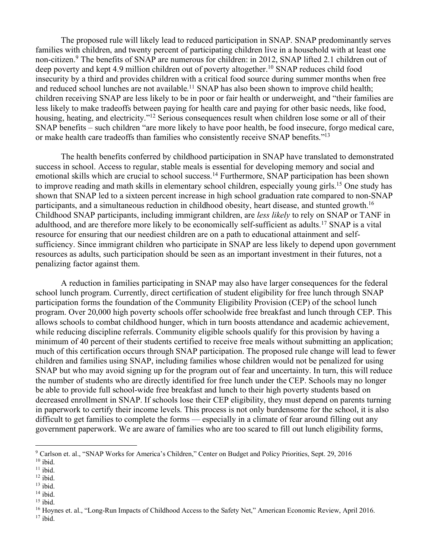The proposed rule will likely lead to reduced participation in SNAP. SNAP predominantly serves families with children, and twenty percent of participating children live in a household with at least one non-citizen. <sup>9</sup> The benefits of SNAP are numerous for children: in 2012, SNAP lifted 2.1 children out of deep poverty and kept 4.9 million children out of poverty altogether. <sup>10</sup> SNAP reduces child food insecurity by a third and provides children with a critical food source during summer months when free and reduced school lunches are not available.<sup>11</sup> SNAP has also been shown to improve child health; children receiving SNAP are less likely to be in poor or fair health or underweight, and "their families are less likely to make tradeoffs between paying for health care and paying for other basic needs, like food, housing, heating, and electricity."<sup>12</sup> Serious consequences result when children lose some or all of their SNAP benefits – such children "are more likely to have poor health, be food insecure, forgo medical care, or make health care tradeoffs than families who consistently receive SNAP benefits."13

The health benefits conferred by childhood participation in SNAP have translated to demonstrated success in school. Access to regular, stable meals is essential for developing memory and social and emotional skills which are crucial to school success.<sup>14</sup> Furthermore, SNAP participation has been shown to improve reading and math skills in elementary school children, especially young girls. <sup>15</sup> One study has shown that SNAP led to a sixteen percent increase in high school graduation rate compared to non-SNAP participants, and a simultaneous reduction in childhood obesity, heart disease, and stunted growth.<sup>16</sup> Childhood SNAP participants, including immigrant children, are *less likely* to rely on SNAP or TANF in adulthood, and are therefore more likely to be economically self-sufficient as adults. <sup>17</sup> SNAP is a vital resource for ensuring that our neediest children are on a path to educational attainment and selfsufficiency. Since immigrant children who participate in SNAP are less likely to depend upon government resources as adults, such participation should be seen as an important investment in their futures, not a penalizing factor against them.

A reduction in families participating in SNAP may also have larger consequences for the federal school lunch program. Currently, direct certification of student eligibility for free lunch through SNAP participation forms the foundation of the Community Eligibility Provision (CEP) of the school lunch program. Over 20,000 high poverty schools offer schoolwide free breakfast and lunch through CEP. This allows schools to combat childhood hunger, which in turn boosts attendance and academic achievement, while reducing discipline referrals. Community eligible schools qualify for this provision by having a minimum of 40 percent of their students certified to receive free meals without submitting an application; much of this certification occurs through SNAP participation. The proposed rule change will lead to fewer children and families using SNAP, including families whose children would not be penalized for using SNAP but who may avoid signing up for the program out of fear and uncertainty. In turn, this will reduce the number of students who are directly identified for free lunch under the CEP. Schools may no longer be able to provide full school-wide free breakfast and lunch to their high poverty students based on decreased enrollment in SNAP. If schools lose their CEP eligibility, they must depend on parents turning in paperwork to certify their income levels. This process is not only burdensome for the school, it is also difficult to get families to complete the forms — especially in a climate of fear around filling out any government paperwork. We are aware of families who are too scared to fill out lunch eligibility forms,

 <sup>9</sup> Carlson et. al., "SNAP Works for America's Children," Center on Budget and Policy Priorities, Sept. 29, 2016  $10$  ibid.

 $11$  ibid.

 $12$  ibid.

 $13$  ibid.

 $14$  ibid.

 $15$  ibid.

<sup>&</sup>lt;sup>16</sup> Hoynes et. al., "Long-Run Impacts of Childhood Access to the Safety Net," American Economic Review, April 2016.  $17$  ibid.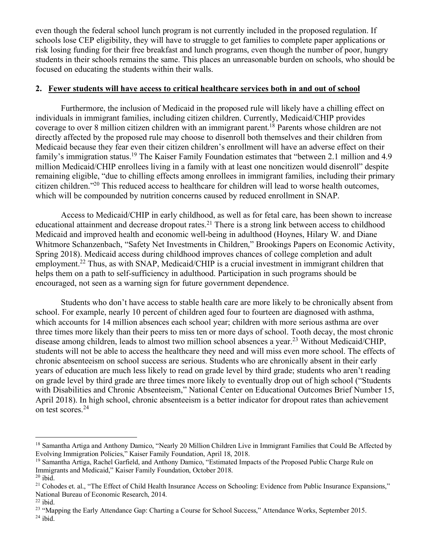even though the federal school lunch program is not currently included in the proposed regulation. If schools lose CEP eligibility, they will have to struggle to get families to complete paper applications or risk losing funding for their free breakfast and lunch programs, even though the number of poor, hungry students in their schools remains the same. This places an unreasonable burden on schools, who should be focused on educating the students within their walls.

### **2. Fewer students will have access to critical healthcare services both in and out of school**

Furthermore, the inclusion of Medicaid in the proposed rule will likely have a chilling effect on individuals in immigrant families, including citizen children. Currently, Medicaid/CHIP provides coverage to over 8 million citizen children with an immigrant parent. <sup>18</sup> Parents whose children are not directly affected by the proposed rule may choose to disenroll both themselves and their children from Medicaid because they fear even their citizen children's enrollment will have an adverse effect on their family's immigration status.<sup>19</sup> The Kaiser Family Foundation estimates that "between 2.1 million and 4.9 million Medicaid/CHIP enrollees living in a family with at least one noncitizen would disenroll" despite remaining eligible, "due to chilling effects among enrollees in immigrant families, including their primary citizen children."20 This reduced access to healthcare for children will lead to worse health outcomes, which will be compounded by nutrition concerns caused by reduced enrollment in SNAP.

Access to Medicaid/CHIP in early childhood, as well as for fetal care, has been shown to increase educational attainment and decrease dropout rates.<sup>21</sup> There is a strong link between access to childhood Medicaid and improved health and economic well-being in adulthood (Hoynes, Hilary W. and Diane Whitmore Schanzenbach, "Safety Net Investments in Children," Brookings Papers on Economic Activity, Spring 2018). Medicaid access during childhood improves chances of college completion and adult employment.<sup>22</sup> Thus, as with SNAP, Medicaid/CHIP is a crucial investment in immigrant children that helps them on a path to self-sufficiency in adulthood. Participation in such programs should be encouraged, not seen as a warning sign for future government dependence.

Students who don't have access to stable health care are more likely to be chronically absent from school. For example, nearly 10 percent of children aged four to fourteen are diagnosed with asthma, which accounts for 14 million absences each school year; children with more serious asthma are over three times more likely than their peers to miss ten or more days of school. Tooth decay, the most chronic disease among children, leads to almost two million school absences a year. <sup>23</sup> Without Medicaid/CHIP, students will not be able to access the healthcare they need and will miss even more school. The effects of chronic absenteeism on school success are serious. Students who are chronically absent in their early years of education are much less likely to read on grade level by third grade; students who aren't reading on grade level by third grade are three times more likely to eventually drop out of high school ("Students with Disabilities and Chronic Absenteeism," National Center on Educational Outcomes Brief Number 15, April 2018). In high school, chronic absenteeism is a better indicator for dropout rates than achievement on test scores. 24

<sup>&</sup>lt;sup>18</sup> Samantha Artiga and Anthony Damico, "Nearly 20 Million Children Live in Immigrant Families that Could Be Affected by Evolving Immigration Policies," Kaiser Family Foundation, April 18, 2018.

<sup>19</sup> Samantha Artiga, Rachel Garfield, and Anthony Damico, "Estimated Impacts of the Proposed Public Charge Rule on Immigrants and Medicaid," Kaiser Family Foundation, October 2018.

 $20$  ibid.

<sup>&</sup>lt;sup>21</sup> Cohodes et. al., "The Effect of Child Health Insurance Access on Schooling: Evidence from Public Insurance Expansions," National Bureau of Economic Research, 2014.

 $^{22}$ ibid.

<sup>&</sup>lt;sup>23</sup> "Mapping the Early Attendance Gap: Charting a Course for School Success," Attendance Works, September 2015.  $24$  ibid.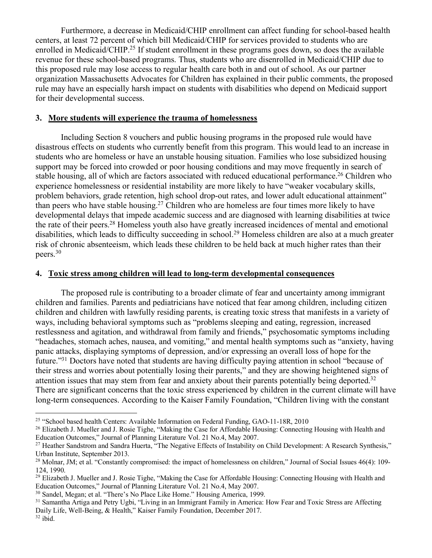Furthermore, a decrease in Medicaid/CHIP enrollment can affect funding for school-based health centers, at least 72 percent of which bill Medicaid/CHIP for services provided to students who are enrolled in Medicaid/CHIP.<sup>25</sup> If student enrollment in these programs goes down, so does the available revenue for these school-based programs. Thus, students who are disenrolled in Medicaid/CHIP due to this proposed rule may lose access to regular health care both in and out of school. As our partner organization Massachusetts Advocates for Children has explained in their public comments, the proposed rule may have an especially harsh impact on students with disabilities who depend on Medicaid support for their developmental success.

### **3. More students will experience the trauma of homelessness**

Including Section 8 vouchers and public housing programs in the proposed rule would have disastrous effects on students who currently benefit from this program. This would lead to an increase in students who are homeless or have an unstable housing situation. Families who lose subsidized housing support may be forced into crowded or poor housing conditions and may move frequently in search of stable housing, all of which are factors associated with reduced educational performance.<sup>26</sup> Children who experience homelessness or residential instability are more likely to have "weaker vocabulary skills, problem behaviors, grade retention, high school drop-out rates, and lower adult educational attainment" than peers who have stable housing. <sup>27</sup> Children who are homeless are four times more likely to have developmental delays that impede academic success and are diagnosed with learning disabilities at twice the rate of their peers. <sup>28</sup> Homeless youth also have greatly increased incidences of mental and emotional disabilities, which leads to difficulty succeeding in school. <sup>29</sup> Homeless children are also at a much greater risk of chronic absenteeism, which leads these children to be held back at much higher rates than their peers. 30

#### **4. Toxic stress among children will lead to long-term developmental consequences**

The proposed rule is contributing to a broader climate of fear and uncertainty among immigrant children and families. Parents and pediatricians have noticed that fear among children, including citizen children and children with lawfully residing parents, is creating toxic stress that manifests in a variety of ways, including behavioral symptoms such as "problems sleeping and eating, regression, increased restlessness and agitation, and withdrawal from family and friends," psychosomatic symptoms including "headaches, stomach aches, nausea, and vomiting," and mental health symptoms such as "anxiety, having panic attacks, displaying symptoms of depression, and/or expressing an overall loss of hope for the future."31 Doctors have noted that students are having difficulty paying attention in school "because of their stress and worries about potentially losing their parents," and they are showing heightened signs of attention issues that may stem from fear and anxiety about their parents potentially being deported.<sup>32</sup> There are significant concerns that the toxic stress experienced by children in the current climate will have long-term consequences. According to the Kaiser Family Foundation, "Children living with the constant

 $32$  ibid.

 <sup>25</sup> "School based health Centers: Available Information on Federal Funding, GAO-11-18R, 2010

<sup>&</sup>lt;sup>26</sup> Elizabeth J. Mueller and J. Rosie Tighe, "Making the Case for Affordable Housing: Connecting Housing with Health and Education Outcomes," Journal of Planning Literature Vol. 21 No.4, May 2007.

<sup>&</sup>lt;sup>27</sup> Heather Sandstrom and Sandra Huerta, "The Negative Effects of Instability on Child Development: A Research Synthesis," Urban Institute, September 2013.

<sup>&</sup>lt;sup>28</sup> Molnar, JM; et al. "Constantly compromised: the impact of homelessness on children," Journal of Social Issues 46(4): 109-124, 1990.

<sup>&</sup>lt;sup>29</sup> Elizabeth J. Mueller and J. Rosie Tighe, "Making the Case for Affordable Housing: Connecting Housing with Health and Education Outcomes," Journal of Planning Literature Vol. 21 No.4, May 2007.

<sup>30</sup> Sandel, Megan; et al. "There's No Place Like Home." Housing America, 1999.

<sup>&</sup>lt;sup>31</sup> Samantha Artiga and Petry Ugbi, "Living in an Immigrant Family in America: How Fear and Toxic Stress are Affecting Daily Life, Well-Being, & Health," Kaiser Family Foundation, December 2017.